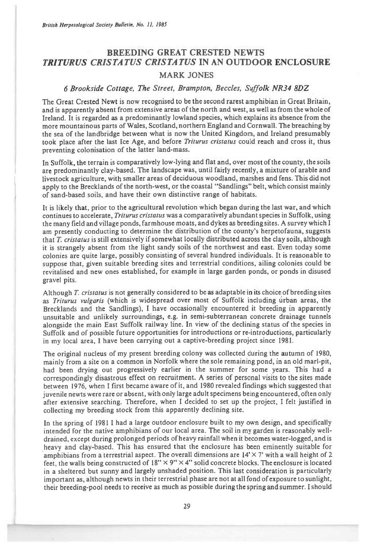## **BREEDING GREAT CRESTED NEWTS**  *TRITURUS CRISTATUS CRISTATUS* **IN AN OUTDOOR ENCLOSURE**

## MARK JONES

## 6 Brookside Cottage, The Street, Brampton, Beccles, Suffolk NR34 8DZ

The Great Crested Newt is now recognised to be the second rarest amphibian in Great Britain, and is apparently absent from extensive areas of the north and west, as well as from the whole of Ireland. It is regarded as a predominantly lowland species, which explains its absence from the more mountainous parts of Wales, Scotland, northern England and Cornwall. The breaching by the sea of the landbridge between what is now the United Kingdom, and Ireland presumably took place after the last Ice Age, and before *Triturus cristatus* could reach and cross it, thus preventing colonisation of the latter land-mass.

In Suffolk, the terrain is comparatively low-lying and flat and, over most of the county, the soils are predominantly clay-based. The landscape was, until fairly recently, a mixture of arable and livestock agriculture, with smaller areas of deciduous woodland, marshes and fens. This did not apply to the Brecklands of the north-west, or the coastal "Sandlings" belt, which consist mainly of sand-based soils, and have their own distinctive range of habitats.

It is likely that, prior to the agricultural revolution which began during the last war, and which continues to accelerate, *Triturus cristatus* was a comparatively abundant species in Suffolk, using the many field and village ponds, farmhouse moats, and dykes as breeding sites. A survey which I am presently conducting to determine the distribution of the county's herpetofauna, suggests that T. cristatus is still extensively if somewhat locally distributed across the clay soils, although it is strangely absent from the light sandy soils of the northwest and east. Even today some colonies are quite large, possibly consisting of several hundred individuals. It is reasonable to suppose that, given suitable breeding sites and terrestrial conditions, ailing colonies could be revitalised and new ones established, for example in large garden ponds, or ponds in disused gravel pits.

Although *T. cristatus is* not generally considered to be as adaptable in its choice of breeding sites as *Triturus vulgaris* (which is widespread over most of Suffolk including urban areas, the Brecklands and the Sandlings), I have occasionally encountered it breeding in apparently unsuitable and unlikely surroundings, e.g. in semi-subterranean concrete drainage tunnels alongside the main East Suffolk railway line. In view of the declining status of the species in Suffolk and of possible future opportunities for introductions or re-introductions, particularly in my local area, I have been carrying out a captive-breeding project since 1981.

The original nucleus of my present breeding colony was collected during the autumn of 1980, mainly from a site on a common in Norfolk where the sole remaining pond, in an old marl-pit, had been drying out progressively earlier in the summer for some years. This had a correspondingly disastrous effect on recruitment. A series of personal visits to the sites made between 1976, when I first became aware of it, and 1980 revealed findings which suggested that juvenile newts were rare or absent, with only large adult specimens being encountered, often only after extensive searching. Therefore, when I decided to set up the project, I felt justified in collecting my breeding stock from this apparently declining site.

In the spring of 1981 I had a large outdoor enclosure built to my own design, and specifically intended for the native amphibians of our local area. The soil in my garden is reasonably welldrained, except during prolonged periods of heavy rainfall when it becomes water-logged, and is . heavy and clay-based. This has ensured that the enclosure has been eminently suitable for amphibians from a terrestrial aspect. The overall dimensions are  $14' \times 7'$  with a wall height of 2 feet, the walls being constructed of  $18" \times 9" \times 4"$  solid concrete blocks. The enclosure is located in a sheltered but sunny and largely unshaded position. This last consideration is particularly important as, although newts in their terrestrial phase are not at all fond of exposure to sunlight, their breeding-pool needs to receive as much as possible during the spring and summer. I should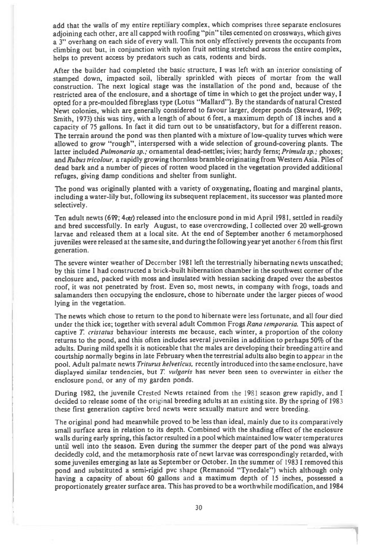**add that the walls of my entire reptiliary complex, which comprises three separate enclosures adjoining each other, are all capped with roofing "pin" tiles cemented on crossways, which gives a 3" overhang on each side of every wall. This not only effectively prevents the occupants from climbing out but, in conjunction with nylon fruit netting stretched across the entire complex, helps to prevent access by predators such as cats, rodents and birds.** 

**After the builder had completed the basic structure, I was left with an interior consisting of stamped down, impacted soil, liberally sprinkled with pieces of mortar from the wall construction. The next logical stage was the installation of the pond and, because of the restricted area of the enclosure, and a shortage of time in which to get the project under way, I opted for a pre-moulded fibreglass type (Lotus "Mallard"). By the standards of natural Crested Newt colonies, which are generally considered to favour larger, deeper ponds (Steward, 1969; Smith, 1973) this was tiny, with a length of about 6 feet, a maximum depth of 18 inches and a capacity of 75 gallons. In fact it did turn out to be unsatisfactory, but for a different reason. The terrain around the pond was then planted with a mixture of low-quality turves which were allowed to grow "rough", interspersed with a wide selection of ground-covering plants. The latter included Pulmonaria sp.; ornamental dead-nettles; ivies; hardy ferns; Primula sp.; phoxes; and Rubus tricolour, a rapidly growing thornless bramble originating from Western Asia. Piles of dead bark and a number of pieces of rotten wood placed in the vegetation provided additional refuges, giving damp conditions and shelter from sunlight.** 

**The pond was originally planted with a variety of oxygenating, floating and marginal plants, including a water-lily but, following its subsequent replacement, its successor was planted more selectively.** 

**Ten adult newts (6;** *4ce)* **released into the enclosure pond in mid April 1981, settled in readily and bred successfully. In early August, to ease overcrowding, I collected over 20 well-grown larvae and released them at a local site. At the end of September another 6 metamorphosed juveniles were released at the same site, and during the following year yet another** 6 **from this first generation.** 

**The severe winter weather of December 1981 left the terrestrially hibernating newts unscathed; by this time I had constructed a brick-built hibernation chamber in the southwest corner of the enclosure and, packed with moss and insulated with hessian sacking draped over the asbestos roof, it was not penetrated by frost. Even so, most newts, in company with frogs, toads and salamanders then occupying the enclosure, chose to hibernate under the larger pieces of wood lying in the vegetation.** 

**The newts which chose to return to the pond to hibernate were less fortunate, and all four died under the thick ice; together with several adult Common Frogs Rana temporaria. This aspect of captive T. cristatus behaviour interests me because, each winter, a proportion of the colony returns to the pond, and this often includes several juveniles in addition to perhaps 50% of the adults. During mild spells it is noticeable that the males are developing their breeding attire and courtship normally begins in late February when the terrestrial adults also begin to appear in the pool. Adult palmate newts Triturus helveticus, recently introduced into the same enclosure, have displayed similar tendencies, but T vulgaris has never been seen to overwinter in either the enclosure pond, or any of my garden ponds.** 

**During 1982, the juvenile Crested Newts retained from the 1981 season grew rapidly, and I decided to release some of the original breeding adults at an existing site. By the spring of 1983 these first generation captive bred newts were sexually mature and were breeding.** 

**The original pond had meanwhile proved to be less than ideal, mainly due to its comparatively small surface area in relation to its depth. Combined with the shading effect of the enclosure walls during early spring, this factor resulted in a pool which maintained low water temperatures until well into the season. Even during the summer the deeper part of the pond was always decidedly cold, and the metamorphosis rate of newt larvae was correspondingly retarded, with some juveniles emerging as late as September or October. In the summer** of 1983 **I removed this pond and substituted a semi-rigid pvc shape (Remanoid "Tynedale") which although only having a capacity of about 60 gallons** and **a maximum depth of 15 inches, possessed a proportionately greater surface area. This has proved to be a worthwhile modification, and 1984**